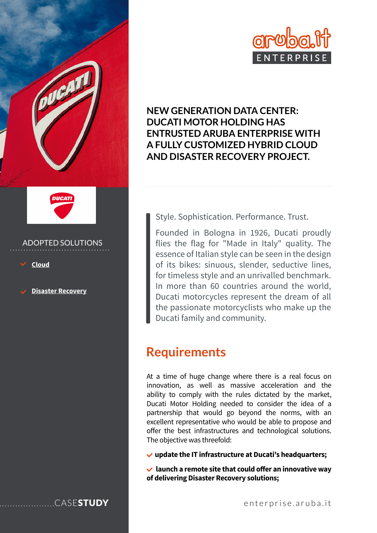



## ADOPTED SOLUTIONS

**[Cloud](https://enterprise.aruba.it/en/products-and-services/cloud-and-data-centers/cloud-infrastructure.aspx)**

**[Disaster Recovery](https://enterprise.aruba.it/en/products-and-services/data-center-infrastructure.aspx)**



**ENTRUSTED ARUBA ENTERPRISE WITH** 

**NEW GENERATION DATA CENTER:** 

**DUCATI MOTOR HOLDING HAS** 

Style. Sophistication. Performance. Trust.

Founded in Bologna in 1926, Ducati proudly flies the flag for "Made in Italy" quality. The essence of Italian style can be seen in the design of its bikes: sinuous, slender, seductive lines, for timeless style and an unrivalled benchmark. In more than 60 countries around the world, Ducati motorcycles represent the dream of all the passionate motorcyclists who make up the Ducati family and community.

# **Requirements**

At a time of huge change where there is a real focus on innovation, as well as massive acceleration and the ability to comply with the rules dictated by the market, Ducati Motor Holding needed to consider the idea of a partnership that would go beyond the norms, with an excellent representative who would be able to propose and offer the best infrastructures and technological solutions. The objective was threefold:

**update the IT infrastructure at Ducati's headquarters;**

 **launch a remote site that could offer an innovative way of delivering Disaster Recovery solutions;**



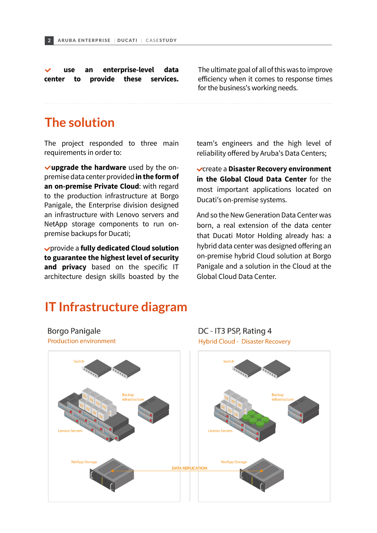**use an enterprise-level data center to provide these services.**

The ultimate goal of all of this was to improve efficiency when it comes to response times for the business's working needs.

## **The solution**

The project responded to three main requirements in order to:

 **upgrade the hardware** used by the onpremise data center provided **in the form of an on-premise Private Cloud**: with regard to the production infrastructure at Borgo Panigale, the Enterprise division designed an infrastructure with Lenovo servers and NetApp storage components to run onpremise backups for Ducati;

 provide a **fully dedicated Cloud solution to guarantee the highest level of security**  and privacy based on the specific IT architecture design skills boasted by the team's engineers and the high level of reliability offered by Aruba's Data Centers;

 create a **Disaster Recovery environment in the Global Cloud Data Center** for the most important applications located on Ducati's on-premise systems.

And so the New Generation Data Center was born, a real extension of the data center that Ducati Motor Holding already has: a hybrid data center was designed offering an on-premise hybrid Cloud solution at Borgo Panigale and a solution in the Cloud at the Global Cloud Data Center.

DC - IT3 PSP, Rating 4

## **IT Infrastructure diagram**



**Borgo Panigale** 

**Production environment**